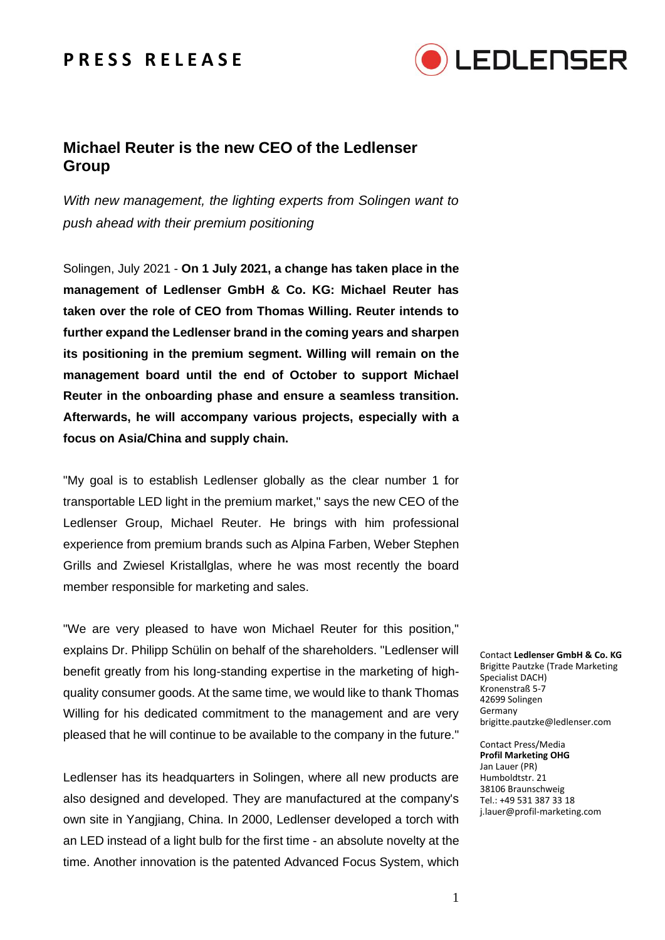## **P R E S S R E L E A S E**



## **Michael Reuter is the new CEO of the Ledlenser Group**

*With new management, the lighting experts from Solingen want to push ahead with their premium positioning*

Solingen, July 2021 - **On 1 July 2021, a change has taken place in the management of Ledlenser GmbH & Co. KG: Michael Reuter has taken over the role of CEO from Thomas Willing. Reuter intends to further expand the Ledlenser brand in the coming years and sharpen its positioning in the premium segment. Willing will remain on the management board until the end of October to support Michael Reuter in the onboarding phase and ensure a seamless transition. Afterwards, he will accompany various projects, especially with a focus on Asia/China and supply chain.**

"My goal is to establish Ledlenser globally as the clear number 1 for transportable LED light in the premium market," says the new CEO of the Ledlenser Group, Michael Reuter. He brings with him professional experience from premium brands such as Alpina Farben, Weber Stephen Grills and Zwiesel Kristallglas, where he was most recently the board member responsible for marketing and sales.

"We are very pleased to have won Michael Reuter for this position," explains Dr. Philipp Schülin on behalf of the shareholders. "Ledlenser will benefit greatly from his long-standing expertise in the marketing of highquality consumer goods. At the same time, we would like to thank Thomas Willing for his dedicated commitment to the management and are very pleased that he will continue to be available to the company in the future."

Ledlenser has its headquarters in Solingen, where all new products are also designed and developed. They are manufactured at the company's own site in Yangjiang, China. In 2000, Ledlenser developed a torch with an LED instead of a light bulb for the first time - an absolute novelty at the time. Another innovation is the patented Advanced Focus System, which

Contact **Ledlenser GmbH & Co. KG** Brigitte Pautzke (Trade Marketing Specialist DACH) Kronenstraß 5-7 42699 Solingen Germany brigitte.pautzke@ledlenser.com

Contact Press/Media **Profil Marketing OHG** Jan Lauer (PR) Humboldtstr. 21 38106 Braunschweig Tel.: +49 531 387 33 18 j.lauer@profil-marketing.com